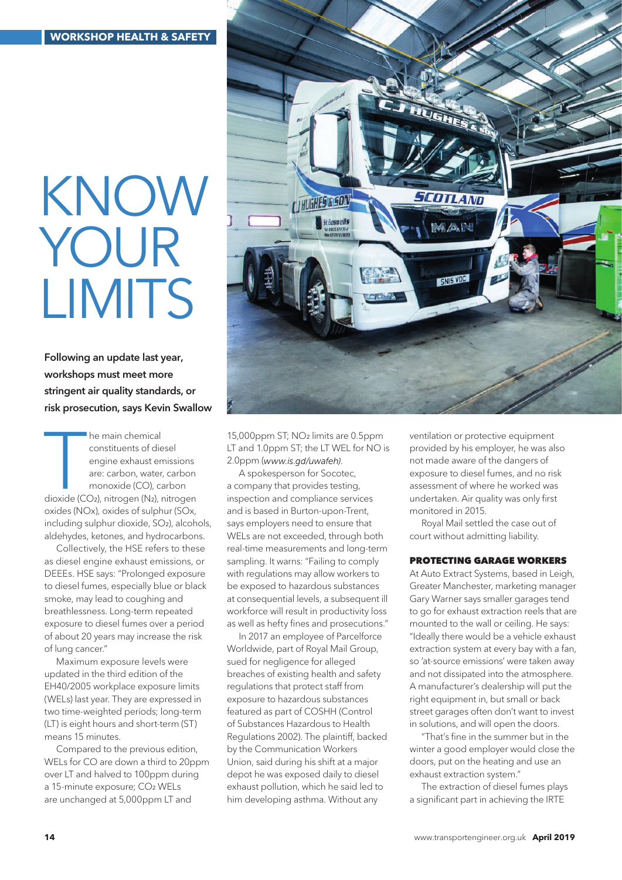# KNOW YOUR **LIMITS**

Following an update last year, workshops must meet more stringent air quality standards, or risk prosecution, says Kevin Swallow

The main chemical<br>
constituents of diesel<br>
engine exhaust emissions<br>
are: carbon, water, carbon<br>
monoxide (CO), carbon<br>
dioxide (CO2), nitrogen (N2), nitrogen<br>
ideas he main chemical constituents of diesel engine exhaust emissions are: carbon, water, carbon monoxide (CO), carbon oxides (NOx), oxides of sulphur (SOx, including sulphur dioxide, SO2), alcohols, aldehydes, ketones, and hydrocarbons.

Collectively, the HSE refers to these as diesel engine exhaust emissions, or DEEEs. HSE says: "Prolonged exposure to diesel fumes, especially blue or black smoke, may lead to coughing and breathlessness. Long-term repeated exposure to diesel fumes over a period of about 20 years may increase the risk of lung cancer."

Maximum exposure levels were updated in the third edition of the EH40/2005 workplace exposure limits (WELs) last year. They are expressed in two time-weighted periods; long-term (LT) is eight hours and short-term (ST) means 15 minutes.

Compared to the previous edition, WELs for CO are down a third to 20ppm over LT and halved to 100ppm during a 15-minute exposure; CO2 WELs are unchanged at 5,000ppm LT and



15,000ppm ST; NO2 limits are 0.5ppm LT and 1.0ppm ST; the LT WEL for NO is 2.0ppm (*www.is.gd/uwafeh)*.

A spokesperson for Socotec, a company that provides testing, inspection and compliance services and is based in Burton-upon-Trent, says employers need to ensure that WELs are not exceeded, through both real-time measurements and long-term sampling. It warns: "Failing to comply with regulations may allow workers to be exposed to hazardous substances at consequential levels, a subsequent ill workforce will result in productivity loss as well as hefty fines and prosecutions."

In 2017 an employee of Parcelforce Worldwide, part of Royal Mail Group, sued for negligence for alleged breaches of existing health and safety regulations that protect staff from exposure to hazardous substances featured as part of COSHH (Control of Substances Hazardous to Health Regulations 2002). The plaintiff, backed by the Communication Workers Union, said during his shift at a major depot he was exposed daily to diesel exhaust pollution, which he said led to him developing asthma. Without any

ventilation or protective equipment provided by his employer, he was also not made aware of the dangers of exposure to diesel fumes, and no risk assessment of where he worked was undertaken. Air quality was only first monitored in 2015.

Royal Mail settled the case out of court without admitting liability.

#### PROTECTING GARAGE WORKERS

At Auto Extract Systems, based in Leigh, Greater Manchester, marketing manager Gary Warner says smaller garages tend to go for exhaust extraction reels that are mounted to the wall or ceiling. He says: "Ideally there would be a vehicle exhaust extraction system at every bay with a fan, so 'at-source emissions' were taken away and not dissipated into the atmosphere. A manufacturer's dealership will put the right equipment in, but small or back street garages often don't want to invest in solutions, and will open the doors.

"That's fine in the summer but in the winter a good employer would close the doors, put on the heating and use an exhaust extraction system."

The extraction of diesel fumes plays a significant part in achieving the IRTE